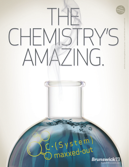